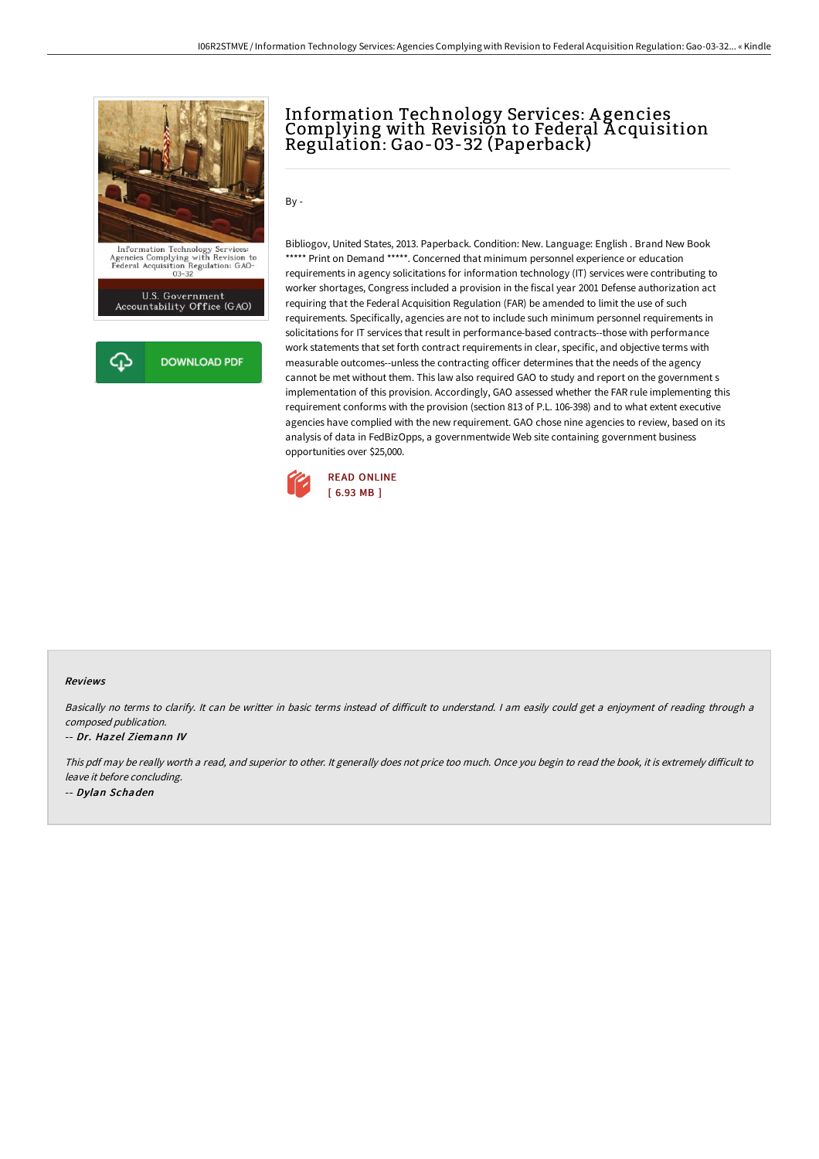



## Information Technology Services: A gencies Complying with Revision to Federal Acquisition Regulation: Gao-03-32 (Paperback)

By -

Bibliogov, United States, 2013. Paperback. Condition: New. Language: English . Brand New Book \*\*\*\*\* Print on Demand \*\*\*\*\*. Concerned that minimum personnel experience or education requirements in agency solicitations for information technology (IT) services were contributing to worker shortages, Congress included a provision in the fiscal year 2001 Defense authorization act requiring that the Federal Acquisition Regulation (FAR) be amended to limit the use of such requirements. Specifically, agencies are not to include such minimum personnel requirements in solicitations for IT services that result in performance-based contracts--those with performance work statements that set forth contract requirements in clear, specific, and objective terms with measurable outcomes--unless the contracting officer determines that the needs of the agency cannot be met without them. This law also required GAO to study and report on the government s implementation of this provision. Accordingly, GAO assessed whether the FAR rule implementing this requirement conforms with the provision (section 813 of P.L. 106-398) and to what extent executive agencies have complied with the new requirement. GAO chose nine agencies to review, based on its analysis of data in FedBizOpps, a governmentwide Web site containing government business opportunities over \$25,000.



## Reviews

Basically no terms to clarify. It can be writter in basic terms instead of difficult to understand. I am easily could get a enjoyment of reading through a composed publication.

## -- Dr. Hazel Ziemann IV

This pdf may be really worth a read, and superior to other. It generally does not price too much. Once you begin to read the book, it is extremely difficult to leave it before concluding. -- Dylan Schaden